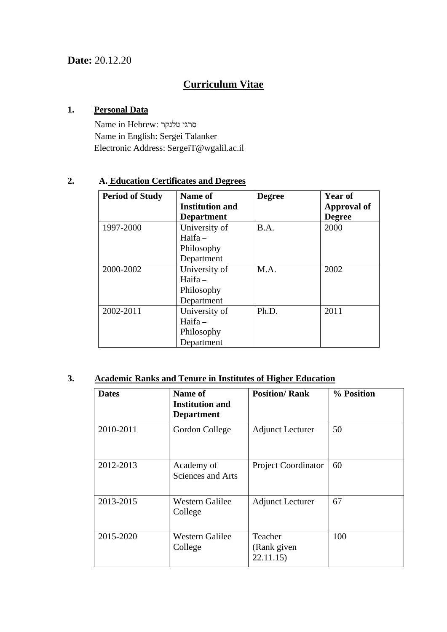## **Curriculum Vitae**

#### **1. Personal Data**

Name in Hebrew: טלנקר סרגי Name in English: Sergei Talanker Electronic Address: [SergeiT@wgalil.ac.il](mailto:SergeiT@wgalil.ac.il)

### **2. A. Education Certificates and Degrees**

| <b>Period of Study</b> | Name of<br><b>Institution and</b><br><b>Department</b> | <b>Degree</b> | Year of<br>Approval of<br><b>Degree</b> |
|------------------------|--------------------------------------------------------|---------------|-----------------------------------------|
| 1997-2000              | University of<br>$Haifa -$<br>Philosophy<br>Department | B.A.          | 2000                                    |
| 2000-2002              | University of<br>$Haifa -$<br>Philosophy<br>Department | M.A.          | 2002                                    |
| 2002-2011              | University of<br>$Haifa -$<br>Philosophy<br>Department | Ph.D.         | 2011                                    |

### **3. Academic Ranks and Tenure in Institutes of Higher Education**

| <b>Dates</b> | Name of<br><b>Institution and</b><br><b>Department</b> | <b>Position/Rank</b>                | % Position |
|--------------|--------------------------------------------------------|-------------------------------------|------------|
| 2010-2011    | Gordon College                                         | <b>Adjunct Lecturer</b>             | 50         |
| 2012-2013    | Academy of<br>Sciences and Arts                        | <b>Project Coordinator</b>          | 60         |
| 2013-2015    | <b>Western Galilee</b><br>College                      | <b>Adjunct Lecturer</b>             | 67         |
| 2015-2020    | <b>Western Galilee</b><br>College                      | Teacher<br>(Rank given)<br>22.11.15 | 100        |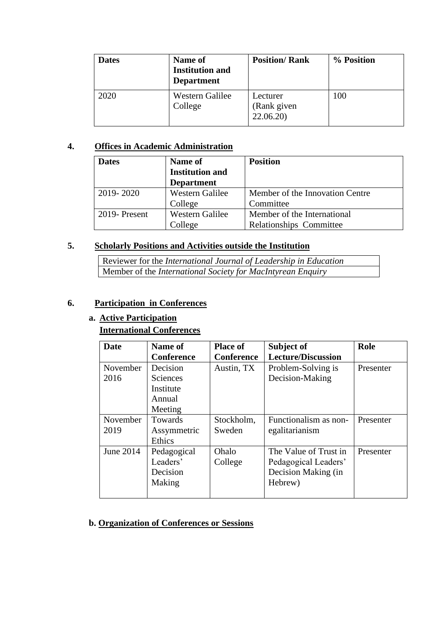| <b>Dates</b> | Name of<br><b>Institution and</b><br><b>Department</b> | <b>Position/Rank</b>                | % Position |
|--------------|--------------------------------------------------------|-------------------------------------|------------|
| 2020         | Western Galilee<br>College                             | Lecturer<br>(Rank given<br>22.06.20 | 100        |

### **4. Offices in Academic Administration**

| <b>Dates</b> | <b>Name of</b><br><b>Institution and</b><br><b>Department</b> | <b>Position</b>                 |
|--------------|---------------------------------------------------------------|---------------------------------|
| 2019-2020    | Western Galilee                                               | Member of the Innovation Centre |
|              | College                                                       | Committee                       |
| 2019-Present | <b>Western Galilee</b>                                        | Member of the International     |
|              | College                                                       | <b>Relationships Committee</b>  |

#### **5. Scholarly Positions and Activities outside the Institution**

Reviewer for the *International Journal of Leadership in Education* Member of the *International Society for MacIntyrean Enquiry*

#### **6. Participation in Conferences**

#### **a. Active Participation International Conferences**

| <b>Date</b>      | Name of<br><b>Conference</b>                                  | <b>Place of</b><br><b>Conference</b> | Subject of<br><b>Lecture/Discussion</b>                                         | Role      |
|------------------|---------------------------------------------------------------|--------------------------------------|---------------------------------------------------------------------------------|-----------|
| November<br>2016 | Decision<br><b>Sciences</b><br>Institute<br>Annual<br>Meeting | Austin, TX                           | Problem-Solving is<br>Decision-Making                                           | Presenter |
| November<br>2019 | <b>Towards</b><br>Assymmetric<br>Ethics                       | Stockholm,<br>Sweden                 | Functionalism as non-<br>egalitarianism                                         | Presenter |
| June 2014        | Pedagogical<br>Leaders'<br>Decision<br>Making                 | Ohalo<br>College                     | The Value of Trust in<br>Pedagogical Leaders'<br>Decision Making (in<br>Hebrew) | Presenter |

#### **b. Organization of Conferences or Sessions**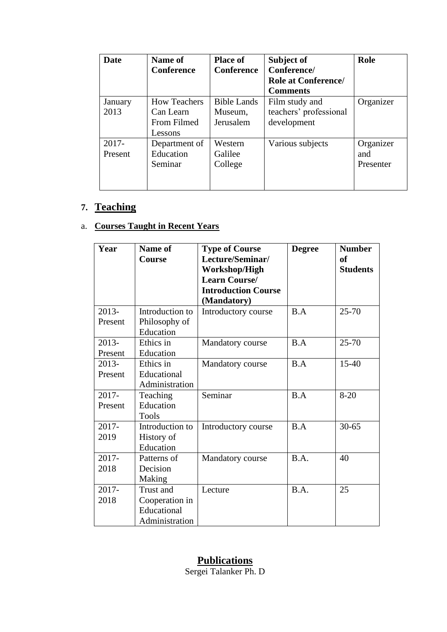| Date     | Name of             | <b>Place of</b>    | Subject of                 | Role      |
|----------|---------------------|--------------------|----------------------------|-----------|
|          | <b>Conference</b>   | <b>Conference</b>  | Conference/                |           |
|          |                     |                    | <b>Role at Conference/</b> |           |
|          |                     |                    | <b>Comments</b>            |           |
| January  | <b>How Teachers</b> | <b>Bible Lands</b> | Film study and             | Organizer |
| 2013     | Can Learn           | Museum,            | teachers' professional     |           |
|          | From Filmed         | Jerusalem          | development                |           |
|          | Lessons             |                    |                            |           |
| $2017 -$ | Department of       | Western            | Various subjects           | Organizer |
| Present  | Education           | Galilee            |                            | and       |
|          | Seminar             | College            |                            | Presenter |
|          |                     |                    |                            |           |
|          |                     |                    |                            |           |

# **7. Teaching**

### a. **Courses Taught in Recent Years**

| Year                | <b>Name of</b><br><b>Course</b>                              | <b>Type of Course</b><br>Lecture/Seminar/<br>Workshop/High<br><b>Learn Course/</b><br><b>Introduction Course</b><br>(Mandatory) | <b>Degree</b> | <b>Number</b><br><b>of</b><br><b>Students</b> |
|---------------------|--------------------------------------------------------------|---------------------------------------------------------------------------------------------------------------------------------|---------------|-----------------------------------------------|
| $2013-$<br>Present  | Introduction to<br>Philosophy of<br>Education                | Introductory course                                                                                                             | B.A           | $25 - 70$                                     |
| $2013 -$<br>Present | Ethics in<br>Education                                       | Mandatory course                                                                                                                | B.A           | $25 - 70$                                     |
| 2013-<br>Present    | Ethics in<br>Educational<br>Administration                   | Mandatory course                                                                                                                | B.A           | $15-40$                                       |
| $2017 -$<br>Present | Teaching<br>Education<br><b>Tools</b>                        | Seminar                                                                                                                         | B.A           | $8 - 20$                                      |
| 2017-<br>2019       | Introduction to<br>History of<br>Education                   | Introductory course                                                                                                             | B.A           | $30 - 65$                                     |
| 2017-<br>2018       | Patterns of<br>Decision<br>Making                            | Mandatory course                                                                                                                | B.A.          | 40                                            |
| 2017-<br>2018       | Trust and<br>Cooperation in<br>Educational<br>Administration | Lecture                                                                                                                         | B.A.          | 25                                            |

### **Publications**

Sergei Talanker Ph. D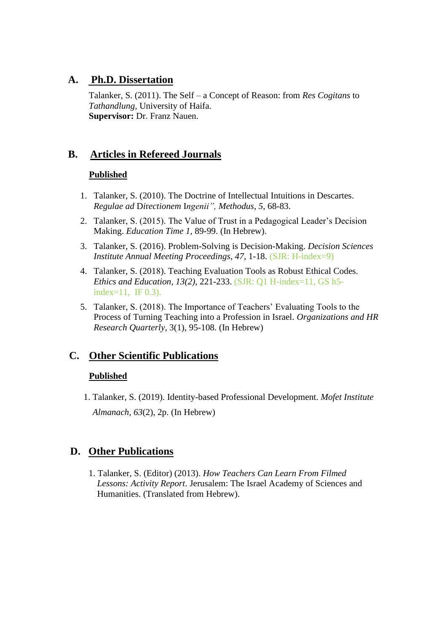### **A. Ph.D. Dissertation**

Talanker, S. (2011). The Self – a Concept of Reason: from *Res Cogitans* to *Tathandlung,* University of Haifa. **Supervisor:** Dr. Franz Nauen.

### **B. Articles in Refereed Journals**

#### **Published**

- 1. Talanker, S. (2010). The Doctrine of Intellectual Intuitions in Descartes. *Regulae ad* D*i*r*ectionem* I*ngenii", Methodus*, *5*, 68-83.
- 2. Talanker, S. (2015). The Value of Trust in a Pedagogical Leader's Decision Making. *Education Time 1*, 89-99. (In Hebrew).
- 3. Talanker, S. (2016). Problem-Solving is Decision-Making. *Decision Sciences Institute Annual Meeting Proceedings, 47*, 1-18. (SJR: H-index=9)
- 4. Talanker, S. (2018). Teaching Evaluation Tools as Robust Ethical Codes. *Ethics and Education, 13(2),* 221-233. (SJR: Q1 H-index=11, GS h5 index=11, IF 0.3).
- 5. Talanker, S. (2018). The Importance of Teachers' Evaluating Tools to the Process of Turning Teaching into a Profession in Israel. *Organizations and HR Research Quarterly*, 3(1), 95-108. (In Hebrew)

### **C. Other Scientific Publications**

### **Published**

1. Talanker, S. (2019). Identity-based Professional Development. *Mofet Institute Almanach, 63*(2), 2p. (In Hebrew)

### **D. Other Publications**

1. Talanker, S. (Editor) (2013). *How Teachers Can Learn From Filmed Lessons: Activity Report*. Jerusalem: The Israel Academy of Sciences and Humanities. (Translated from Hebrew).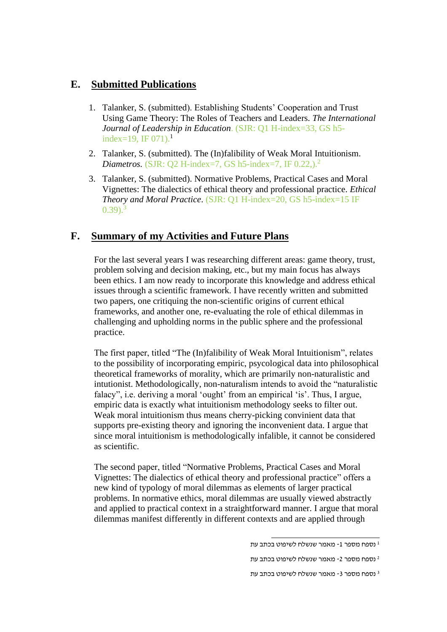### **E. Submitted Publications**

- 1. Talanker, S. (submitted). Establishing Students' Cooperation and Trust Using Game Theory: The Roles of Teachers and Leaders. *The International Journal of Leadership in Education*. (SJR: Q1 H-index=33, GS h5 index=19, IF  $(071)$ .<sup>1</sup>
- 2. Talanker, S. (submitted). The (In)falibility of Weak Moral Intuitionism. *Diametros.* (SJR: Q2 H-index=7, GS h5-index=7, IF 0.22,).<sup>2</sup>
- 3. Talanker, S. (submitted). Normative Problems, Practical Cases and Moral Vignettes: The dialectics of ethical theory and professional practice. *Ethical Theory and Moral Practice*. (SJR: Q1 H-index=20, GS h5-index=15 IF  $(0.39)$ .<sup>3</sup>

### **F. Summary of my Activities and Future Plans**

For the last several years I was researching different areas: game theory, trust, problem solving and decision making, etc., but my main focus has always been ethics. I am now ready to incorporate this knowledge and address ethical issues through a scientific framework. I have recently written and submitted two papers, one critiquing the non-scientific origins of current ethical frameworks, and another one, re-evaluating the role of ethical dilemmas in challenging and upholding norms in the public sphere and the professional practice.

The first paper, titled "The (In)falibility of Weak Moral Intuitionism", relates to the possibility of incorporating empiric, psycological data into philosophical theoretical frameworks of morality, which are primarily non-naturalistic and intutionist. Methodologically, non-naturalism intends to avoid the "naturalistic falacy", i.e. deriving a moral 'ought' from an empirical 'is'. Thus, I argue, empiric data is exactly what intuitionism methodology seeks to filter out. Weak moral intuitionism thus means cherry-picking convinient data that supports pre-existing theory and ignoring the inconvenient data. I argue that since moral intuitionism is methodologically infalible, it cannot be considered as scientific.

The second paper, titled "Normative Problems, Practical Cases and Moral Vignettes: The dialectics of ethical theory and professional practice" offers a new kind of typology of moral dilemmas as elements of larger practical problems. In normative ethics, moral dilemmas are usually viewed abstractly and applied to practical context in a straightforward manner. I argue that moral dilemmas manifest differently in different contexts and are applied through

<sup>1</sup> נספח מספר -1 מאמר שנשלח לשיפוט בכתב עת

<sup>2</sup> נספח מספר -2 מאמר שנשלח לשיפוט בכתב עת

<sup>3</sup> נספח מספר -3 מאמר שנשלח לשיפוט בכתב עת